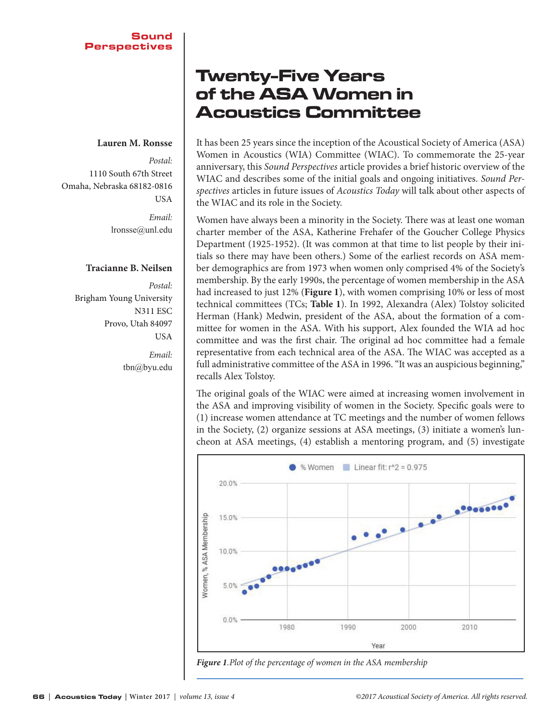#### **Lauren M. Ronsse**

*Postal:*  1110 South 67th Street Omaha, Nebraska 68182-0816 **USA** 

> *Email:* lronsse@unl.edu

#### **Tracianne B. Neilsen**

*Postal:*  Brigham Young University N311 ESC Provo, Utah 84097 USA *Email:*

tbn@byu.edu

## Twenty-Five Years of the ASA Women in Acoustics Committee

It has been 25 years since the inception of the Acoustical Society of America (ASA) Women in Acoustics (WIA) Committee (WIAC). To commemorate the 25-year anniversary, this *Sound Perspectives* article provides a brief historic overview of the WIAC and describes some of the initial goals and ongoing initiatives. *Sound Perspectives* articles in future issues of *Acoustics Today* will talk about other aspects of the WIAC and its role in the Society.

Women have always been a minority in the Society. There was at least one woman charter member of the ASA, Katherine Frehafer of the Goucher College Physics Department (1925-1952). (It was common at that time to list people by their initials so there may have been others.) Some of the earliest records on ASA member demographics are from 1973 when women only comprised 4% of the Society's membership. By the early 1990s, the percentage of women membership in the ASA had increased to just 12% (**Figure 1**), with women comprising 10% or less of most technical committees (TCs; **Table 1**). In 1992, Alexandra (Alex) Tolstoy solicited Herman (Hank) Medwin, president of the ASA, about the formation of a committee for women in the ASA. With his support, Alex founded the WIA ad hoc committee and was the first chair. The original ad hoc committee had a female representative from each technical area of the ASA. The WIAC was accepted as a full administrative committee of the ASA in 1996. "It was an auspicious beginning," recalls Alex Tolstoy.

The original goals of the WIAC were aimed at increasing women involvement in the ASA and improving visibility of women in the Society. Specific goals were to (1) increase women attendance at TC meetings and the number of women fellows in the Society, (2) organize sessions at ASA meetings, (3) initiate a women's luncheon at ASA meetings, (4) establish a mentoring program, and (5) investigate



*Figure 1.Plot of the percentage of women in the ASA membership*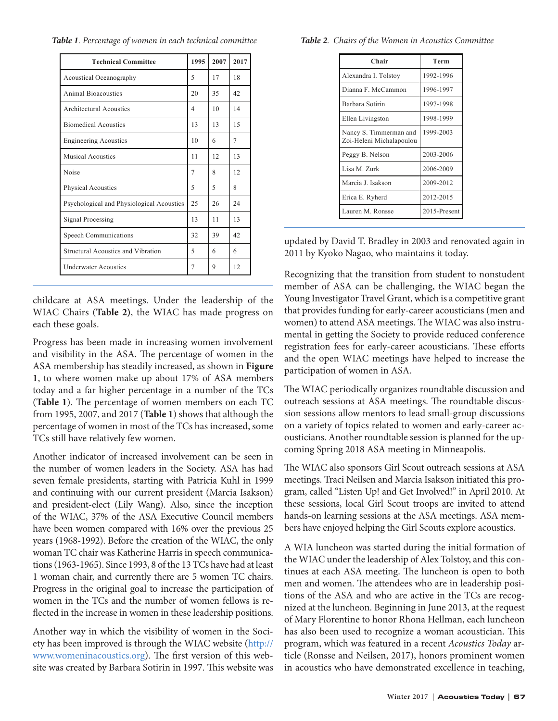Table 1. Percentage of women in each technical committee Table 2. Chairs of the Women in Acoustics Committee

| <b>Technical Committee</b>                | 1995 | 2007 | 2017 |
|-------------------------------------------|------|------|------|
| Acoustical Oceanography                   | 5    | 17   | 18   |
| <b>Animal Bioacoustics</b>                | 20   | 35   | 42   |
| Architectural Acoustics                   | 4    | 10   | 14   |
| <b>Biomedical Acoustics</b>               | 13   | 13   | 15   |
| <b>Engineering Acoustics</b>              | 10   | 6    | 7    |
| <b>Musical Acoustics</b>                  | 11   | 12.  | 13   |
| Noise                                     | 7    | 8    | 12   |
| <b>Physical Acoustics</b>                 | 5    | 5    | 8    |
| Psychological and Physiological Acoustics | 25   | 26   | 24   |
| Signal Processing                         | 13   | 11   | 13   |
| Speech Communications                     | 32   | 39   | 42   |
| Structural Acoustics and Vibration        | 5    | 6    | 6    |
| <b>Underwater Acoustics</b>               | 7    | 9    | 12   |

childcare at ASA meetings. Under the leadership of the WIAC Chairs (**Table 2)**, the WIAC has made progress on each these goals.

> Progress has been made in increasing women involvement and visibility in the ASA. The percentage of women in the ASA membership has steadily increased, as shown in Figure **1**, to where women make up about 17% of ASA members today and a far higher percentage in a number of the TCs (Table 1). The percentage of women members on each TC from 1995, 2007, and 2017 (**Table 1**) shows that although the percentage of women in most of the TCs has increased, some TCs still have relatively few women.

> Another indicator of increased involvement can be seen in the number of women leaders in the Society. ASA has had seven female presidents, starting with Patricia Kuhl in 1999 and continuing with our current president (Marcia Isakson) and president-elect (Lily Wang). Also, since the inception of the WIAC, 37% of the ASA Executive Council members have been women compared with 16% over the previous 25 years (1968-1992). Before the creation of the WIAC, the only woman TC chair was Katherine Harris in speech communications (1963-1965). Since 1993, 8 of the 13 TCs have had at least 1 woman chair, and currently there are 5 women TC chairs. Progress in the original goal to increase the participation of women in the TCs and the number of women fellows is reflected in the increase in women in these leadership positions.

> Another way in which the visibility of women in the Society has been improved is through the WIAC website (http:// www.womeninacoustics.org). The first version of this website was created by Barbara Sotirin in 1997. This website was

| Table 2. Chairs of the Women in Acoustics Committee |  |
|-----------------------------------------------------|--|
|-----------------------------------------------------|--|

| Chair                                              | Term         |  |
|----------------------------------------------------|--------------|--|
| Alexandra I. Tolstoy                               | 1992-1996    |  |
| Dianna F. McCammon                                 | 1996-1997    |  |
| Barbara Sotirin                                    | 1997-1998    |  |
| Ellen Livingston                                   | 1998-1999    |  |
| Nancy S. Timmerman and<br>Zoi-Heleni Michalapoulou | 1999-2003    |  |
| Peggy B. Nelson                                    | 2003-2006    |  |
| Lisa M. Zurk                                       | 2006-2009    |  |
| Marcia J. Isakson                                  | 2009-2012    |  |
| Erica E. Ryherd                                    | 2012-2015    |  |
| Lauren M. Ronsse                                   | 2015-Present |  |

updated by David T. Bradley in 2003 and renovated again in 2011 by Kyoko Nagao, who maintains it today.

Recognizing that the transition from student to nonstudent member of ASA can be challenging, the WIAC began the Young Investigator Travel Grant, which is a competitive grant that provides funding for early-career acousticians (men and women) to attend ASA meetings. The WIAC was also instrumental in getting the Society to provide reduced conference registration fees for early-career acousticians. These efforts and the open WIAC meetings have helped to increase the participation of women in ASA.

The WIAC periodically organizes roundtable discussion and outreach sessions at ASA meetings. The roundtable discussion sessions allow mentors to lead small-group discussions on a variety of topics related to women and early-career acousticians. Another roundtable session is planned for the upcoming Spring 2018 ASA meeting in Minneapolis.

The WIAC also sponsors Girl Scout outreach sessions at ASA meetings. Traci Neilsen and Marcia Isakson initiated this program, called "Listen Up! and Get Involved!" in April 2010. At these sessions, local Girl Scout troops are invited to attend hands-on learning sessions at the ASA meetings. ASA members have enjoyed helping the Girl Scouts explore acoustics.

A WIA luncheon was started during the initial formation of the WIAC under the leadership of Alex Tolstoy, and this continues at each ASA meeting. The luncheon is open to both men and women. The attendees who are in leadership positions of the ASA and who are active in the TCs are recognized at the luncheon. Beginning in June 2013, at the request of Mary Florentine to honor Rhona Hellman, each luncheon has also been used to recognize a woman acoustician. This program, which was featured in a recent *Acoustics Today* article (Ronsse and Neilsen, 2017), honors prominent women in acoustics who have demonstrated excellence in teaching,